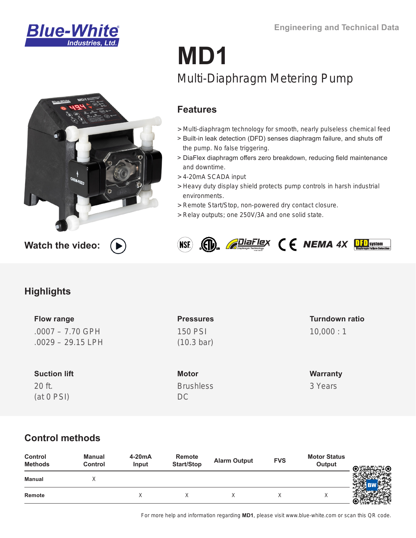



# **MD1** Multi-Diaphragm Metering Pump

## **Features**

- [> Multi-diaphragm technology for smooth, nearly pulseless chemical feed](https://www.proseries-m.com/md1-multi-diaphragm-metering-pump/)
- > Built-in leak detection (DFD) senses diaphragm failure, and shuts off the pump. No false triggering.
- > DiaFlex diaphragm offers zero breakdown, reducing field maintenance and downtime.
- > 4-20mA SCADA input
- > Heavy duty display shield protects pump controls in harsh industrial environments.
- > Remote Start/Stop, non-powered dry contact closure.
- > Relay outputs; one 250V/3A and one solid state.



## **Highlights**

**Flow range** .0007 – 7.70 GPH .0029 – 29.15 LPH

**Suction lift** 20 ft. (at 0 PSI)

**Pressures** 150 PSI (10.3 bar)

**Motor Brushless** 

DC

## **Turndown ratio** 10,000 : 1

**Warranty** 3 Years

# **Control methods**

| Control<br><b>Methods</b> | Manual<br><b>Control</b> | 4-20mA<br>Input | Remote<br>Start/Stop | <b>Alarm Output</b> | <b>FVS</b> | <b>Motor Status</b><br>Output | © <del>‼</del> ™™© |
|---------------------------|--------------------------|-----------------|----------------------|---------------------|------------|-------------------------------|--------------------|
| Manual                    |                          |                 |                      |                     |            |                               |                    |
| Remote                    |                          |                 |                      |                     |            | ⌒                             |                    |

For more help and information regarding **MD1**, please visit www.blue-white.com or scan this QR code.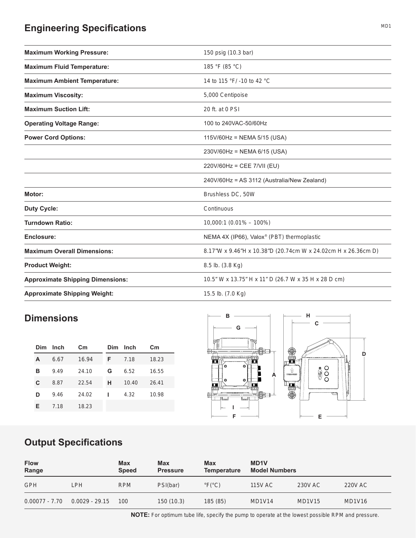# **Engineering Specifications**

| <b>Maximum Working Pressure:</b>        | 150 psig (10.3 bar)                                           |
|-----------------------------------------|---------------------------------------------------------------|
| <b>Maximum Fluid Temperature:</b>       | 185 °F (85 °C)                                                |
| <b>Maximum Ambient Temperature:</b>     | 14 to 115 °F/ -10 to 42 °C                                    |
| <b>Maximum Viscosity:</b>               | 5,000 Centipoise                                              |
| <b>Maximum Suction Lift:</b>            | 20 ft. at 0 PSI                                               |
| <b>Operating Voltage Range:</b>         | 100 to 240VAC-50/60Hz                                         |
| <b>Power Cord Options:</b>              | $115V/60Hz = NEMA 5/15 (USA)$                                 |
|                                         | 230V/60Hz = NEMA 6/15 (USA)                                   |
|                                         | 220V/60Hz = CEE 7/VII (EU)                                    |
|                                         | 240V/60Hz = AS 3112 (Australia/New Zealand)                   |
| Motor:                                  | Brushless DC, 50W                                             |
| <b>Duty Cycle:</b>                      | Continuous                                                    |
| <b>Turndown Ratio:</b>                  | $10,000:1(0.01\% - 100\%)$                                    |
| Enclosure:                              | NEMA 4X (IP66), Valox <sup>®</sup> (PBT) thermoplastic        |
| <b>Maximum Overall Dimensions:</b>      | 8.17"W x 9.46"H x 10.38"D (20.74cm W x 24.02cm H x 26.36cm D) |
| <b>Product Weight:</b>                  | 8.5 lb. (3.8 Kg)                                              |
| <b>Approximate Shipping Dimensions:</b> | 10.5" W x 13.75" H x 11" D (26.7 W x 35 H x 28 D cm)          |
| <b>Approximate Shipping Weight:</b>     | 15.5 lb. (7.0 Kg)                                             |

## **Dimensions**

| Dim | Inch | $\mathsf{c}_{\mathsf{m}}$ | Dim | Inch  | $\mathsf{c}_{\mathsf{m}}$ |
|-----|------|---------------------------|-----|-------|---------------------------|
| А   | 6.67 | 16.94                     | F   | 7.18  | 18.23                     |
| в   | 9.49 | 24.10                     | G   | 6.52  | 16.55                     |
| C   | 8.87 | 22.54                     | н   | 10.40 | 26.41                     |
| D   | 9.46 | 24.02                     |     | 4.32  | 10.98                     |
| Е   | 7.18 | 18.23                     |     |       |                           |



#### $\mathcal{A}$  and  $\mathcal{A}$  are all  $\mathcal{A}$  and  $\mathcal{A}$  are all  $\mathcal{A}$  and  $\mathcal{A}$  are all  $\mathcal{A}$  and  $\mathcal{A}$  are all  $\mathcal{A}$  and  $\mathcal{A}$  are all  $\mathcal{A}$  and  $\mathcal{A}$  are all  $\mathcal{A}$  and  $\mathcal{A}$  are all  $\mathcal{A}$  an **Output Specifications**

| <b>Flow</b><br>Range |                  | <b>Max</b><br><b>Speed</b> | <b>Max</b><br><b>Pressure</b> | <b>Max</b><br><b>Temperature</b> | <b>MD1V</b><br><b>Model Numbers</b> |               |               |
|----------------------|------------------|----------------------------|-------------------------------|----------------------------------|-------------------------------------|---------------|---------------|
| <b>GPH</b>           | LPH              | <b>RPM</b>                 | PSI(bar)                      | $\degree$ F( $\degree$ C)        | <b>115V AC</b>                      | 230V AC       | 220V AC       |
| 0.00077 - 7.70       | $0.0029 - 29.15$ | 100                        | 150(10.3)                     | 185(85)                          | <b>MD1V14</b>                       | <b>MD1V15</b> | <b>MD1V16</b> |

MD1

**NOTE:** For optimum tube life, specify the pump to operate at the lowest possible RPM and pressure.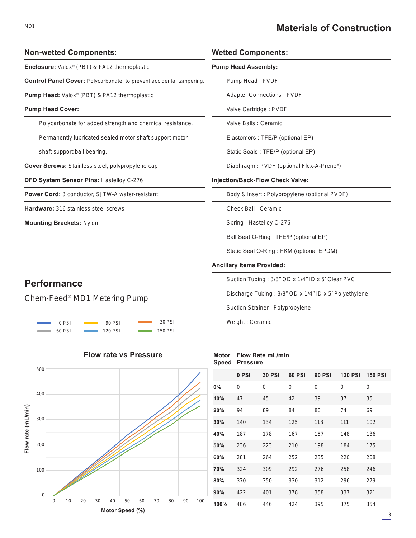## **Materials of Construction**

| <b>Non-wetted Components:</b>                                               | <b>Wetted C</b>  |  |
|-----------------------------------------------------------------------------|------------------|--|
| <b>Enclosure:</b> Valox <sup>®</sup> (PBT) & PA12 thermoplastic             | <b>Pump Head</b> |  |
| <b>Control Panel Cover:</b> Polycarbonate, to prevent accidental tampering. | Pump             |  |
| <b>Pump Head:</b> Valox <sup>®</sup> (PBT) & PA12 thermoplastic             | Adapte           |  |
| <b>Pump Head Cover:</b>                                                     | Valve (          |  |
| Polycarbonate for added strength and chemical resistance.                   | Valve I          |  |
| Permanently lubricated sealed motor shaft support motor                     | Elasto           |  |
| shaft support ball bearing.                                                 | <b>Static</b>    |  |
| Cover Screws: Stainless steel, polypropylene cap                            | Diaphr           |  |
| <b>DFD System Sensor Pins: Hastelloy C-276</b>                              | Injection/B      |  |
| <b>Power Cord:</b> 3 conductor, SJTW-A water-resistant                      | Body &           |  |
| <b>Hardware: 316 stainless steel screws</b>                                 | Check            |  |
| <b>Mounting Brackets: Nylon</b>                                             | Spring           |  |
|                                                                             | <b>Ball Se</b>   |  |

#### **Wetted Components:**

| onoa vomponomo.                                       |
|-------------------------------------------------------|
| <b>Pump Head Assembly:</b>                            |
| Pump Head: PVDF                                       |
| <b>Adapter Connections: PVDF</b>                      |
| Valve Cartridge: PVDF                                 |
| Valve Balls : Ceramic                                 |
| Elastomers : TFE/P (optional EP)                      |
| Static Seals: TFE/P (optional EP)                     |
| Diaphragm: PVDF (optional Flex-A-Prene <sup>®</sup> ) |
| <b>Injection/Back-Flow Check Valve:</b>               |
| Body & Insert: Polypropylene (optional PVDF)          |
| Check Ball: Ceramic                                   |
| Spring: Hastelloy C-276                               |
| Ball Seat O-Ring: TFE/P (optional EP)                 |
| Static Seal O-Ring: FKM (optional EPDM)               |
| <b>Ancillary Items Provided:</b>                      |
| Suction Tubing: 3/8" OD x 1/4" ID x 5' Clear PVC      |
| Discharge Tubing: 3/8" OD x 1/4" ID x 5' Polyethylene |
| Suction Strainer: Polypropylene                       |
|                                                       |

Weight : Ceramic

#### **Motor Flow Rate mL/min Speed Pressure**

|      | 0 PSI | <b>30 PSI</b> | 60 PSI | <b>90 PSI</b> | 120 PSI 150 PSI |     |
|------|-------|---------------|--------|---------------|-----------------|-----|
| 0%   | 0     | 0             | 0      | 0             | 0               | 0   |
| 10%  | 47    | 45            | 42     | 39            | 37              | 35  |
| 20%  | 94    | 89            | 84     | 80            | 74              | 69  |
| 30%  | 140   | 134           | 125    | 118           | 111             | 102 |
| 40%  | 187   | 178           | 167    | 157           | 148             | 136 |
| 50%  | 236   | 223           | 210    | 198           | 184             | 175 |
| 60%  | 281   | 264           | 252    | 235           | 220             | 208 |
| 70%  | 324   | 309           | 292    | 276           | 258             | 246 |
| 80%  | 370   | 350           | 330    | 312           | 296             | 279 |
| 90%  | 422   | 401           | 378    | 358           | 337             | 321 |
| 100% | 486   | 446           | 424    | 395           | 375             | 354 |
|      |       |               |        |               |                 |     |

## **Performance**

## Chem-Feed® MD1 Metering Pump





## **Flow rate vs Pressure**